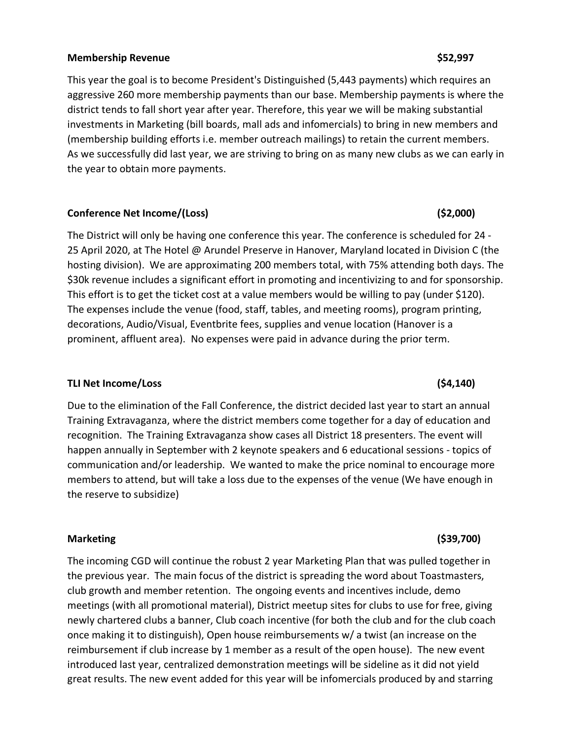### **Membership Revenue \$52,997**

This year the goal is to become President's Distinguished (5,443 payments) which requires an aggressive 260 more membership payments than our base. Membership payments is where the district tends to fall short year after year. Therefore, this year we will be making substantial investments in Marketing (bill boards, mall ads and infomercials) to bring in new members and (membership building efforts i.e. member outreach mailings) to retain the current members. As we successfully did last year, we are striving to bring on as many new clubs as we can early in the year to obtain more payments.

# **Conference Net Income/(Loss) (\$2,000)**

The District will only be having one conference this year. The conference is scheduled for 24 - 25 April 2020, at The Hotel @ Arundel Preserve in Hanover, Maryland located in Division C (the hosting division). We are approximating 200 members total, with 75% attending both days. The \$30k revenue includes a significant effort in promoting and incentivizing to and for sponsorship. This effort is to get the ticket cost at a value members would be willing to pay (under \$120). The expenses include the venue (food, staff, tables, and meeting rooms), program printing, decorations, Audio/Visual, Eventbrite fees, supplies and venue location (Hanover is a prominent, affluent area). No expenses were paid in advance during the prior term.

# **TLI Net Income/Loss (\$4,140)**

Due to the elimination of the Fall Conference, the district decided last year to start an annual Training Extravaganza, where the district members come together for a day of education and recognition. The Training Extravaganza show cases all District 18 presenters. The event will happen annually in September with 2 keynote speakers and 6 educational sessions - topics of communication and/or leadership. We wanted to make the price nominal to encourage more members to attend, but will take a loss due to the expenses of the venue (We have enough in the reserve to subsidize)

# **Marketing (\$39,700)**

The incoming CGD will continue the robust 2 year Marketing Plan that was pulled together in the previous year. The main focus of the district is spreading the word about Toastmasters, club growth and member retention. The ongoing events and incentives include, demo meetings (with all promotional material), District meetup sites for clubs to use for free, giving newly chartered clubs a banner, Club coach incentive (for both the club and for the club coach once making it to distinguish), Open house reimbursements w/ a twist (an increase on the reimbursement if club increase by 1 member as a result of the open house). The new event introduced last year, centralized demonstration meetings will be sideline as it did not yield great results. The new event added for this year will be infomercials produced by and starring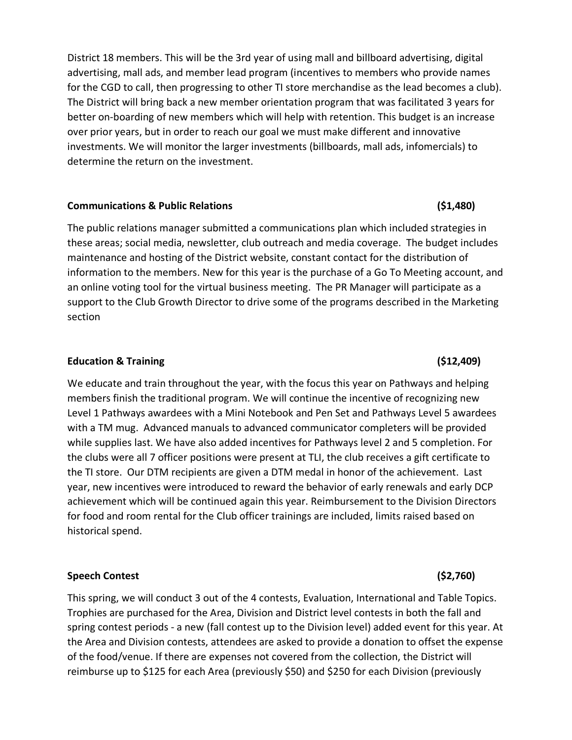District 18 members. This will be the 3rd year of using mall and billboard advertising, digital advertising, mall ads, and member lead program (incentives to members who provide names for the CGD to call, then progressing to other TI store merchandise as the lead becomes a club). The District will bring back a new member orientation program that was facilitated 3 years for better on-boarding of new members which will help with retention. This budget is an increase over prior years, but in order to reach our goal we must make different and innovative investments. We will monitor the larger investments (billboards, mall ads, infomercials) to determine the return on the investment.

### **Communications & Public Relations (\$1,480)**

The public relations manager submitted a communications plan which included strategies in these areas; social media, newsletter, club outreach and media coverage. The budget includes maintenance and hosting of the District website, constant contact for the distribution of information to the members. New for this year is the purchase of a Go To Meeting account, and an online voting tool for the virtual business meeting. The PR Manager will participate as a support to the Club Growth Director to drive some of the programs described in the Marketing section

### **Education & Training (\$12,409)**

We educate and train throughout the year, with the focus this year on Pathways and helping members finish the traditional program. We will continue the incentive of recognizing new Level 1 Pathways awardees with a Mini Notebook and Pen Set and Pathways Level 5 awardees with a TM mug. Advanced manuals to advanced communicator completers will be provided while supplies last. We have also added incentives for Pathways level 2 and 5 completion. For the clubs were all 7 officer positions were present at TLI, the club receives a gift certificate to the TI store. Our DTM recipients are given a DTM medal in honor of the achievement. Last year, new incentives were introduced to reward the behavior of early renewals and early DCP achievement which will be continued again this year. Reimbursement to the Division Directors for food and room rental for the Club officer trainings are included, limits raised based on historical spend.

# **Speech Contest (\$2,760)**

This spring, we will conduct 3 out of the 4 contests, Evaluation, International and Table Topics. Trophies are purchased for the Area, Division and District level contests in both the fall and spring contest periods - a new (fall contest up to the Division level) added event for this year. At the Area and Division contests, attendees are asked to provide a donation to offset the expense of the food/venue. If there are expenses not covered from the collection, the District will reimburse up to \$125 for each Area (previously \$50) and \$250 for each Division (previously